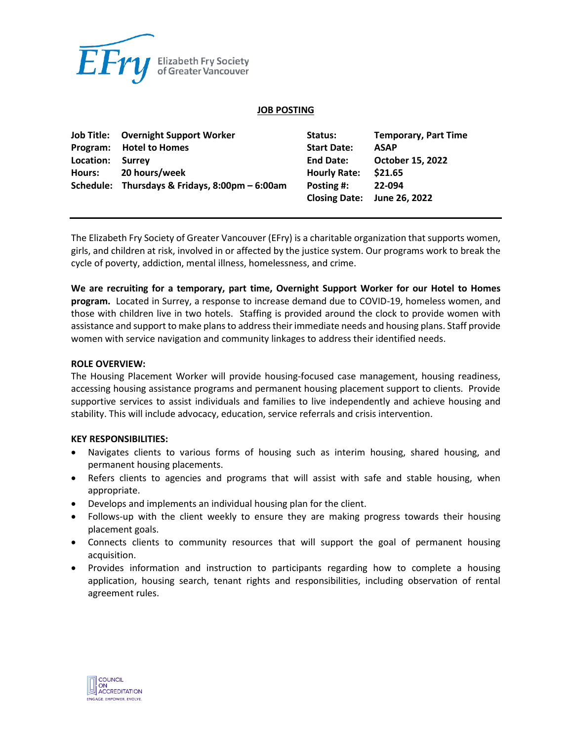

#### **JOB POSTING**

|           | <b>Job Title:</b> Overnight Support Worker     | Status:             | <b>Temporary, Part Time</b> |
|-----------|------------------------------------------------|---------------------|-----------------------------|
|           | Program: Hotel to Homes                        | <b>Start Date:</b>  | <b>ASAP</b>                 |
| Location: | Surrey                                         | <b>End Date:</b>    | <b>October 15, 2022</b>     |
|           | Hours: 20 hours/week                           | <b>Hourly Rate:</b> | \$21.65                     |
|           | Schedule: Thursdays & Fridays, 8:00pm - 6:00am | Posting #:          | 22-094                      |
|           |                                                |                     | Closing Date: June 26, 2022 |

The Elizabeth Fry Society of Greater Vancouver (EFry) is a charitable organization that supports women, girls, and children at risk, involved in or affected by the justice system. Our programs work to break the cycle of poverty, addiction, mental illness, homelessness, and crime.

**We are recruiting for a temporary, part time, Overnight Support Worker for our Hotel to Homes program.** Located in Surrey, a response to increase demand due to COVID-19, homeless women, and those with children live in two hotels. Staffing is provided around the clock to provide women with assistance and support to make plans to address their immediate needs and housing plans. Staff provide women with service navigation and community linkages to address their identified needs.

#### **ROLE OVERVIEW:**

The Housing Placement Worker will provide housing-focused case management, housing readiness, accessing housing assistance programs and permanent housing placement support to clients. Provide supportive services to assist individuals and families to live independently and achieve housing and stability. This will include advocacy, education, service referrals and crisis intervention.

#### **KEY RESPONSIBILITIES:**

- Navigates clients to various forms of housing such as interim housing, shared housing, and permanent housing placements.
- Refers clients to agencies and programs that will assist with safe and stable housing, when appropriate.
- Develops and implements an individual housing plan for the client.
- Follows-up with the client weekly to ensure they are making progress towards their housing placement goals.
- Connects clients to community resources that will support the goal of permanent housing acquisition.
- Provides information and instruction to participants regarding how to complete a housing application, housing search, tenant rights and responsibilities, including observation of rental agreement rules.